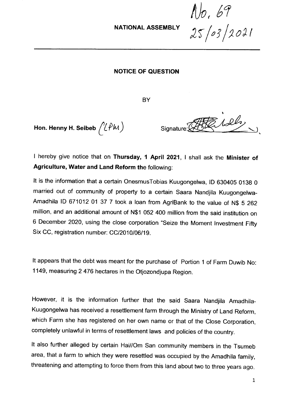NATIONAL ASSEMBLY

*!Jo, 61* 2r*({If /:;oJ-1*

## NOTICE OF QUESTION

**BY** 

Hon. Henny H. Seibeb  $\bigl/ \!\! \bigl( \hat{P} \mathcal{W} \bigr)$ 

\  $Signature: (HKK)$ 

I hereby give notice that on Thursday, 1 April 2021, I shall ask the Minister of Agriculture, Water and Land Reform the following:

It is the information that a certain OnesmusTobias Kuugongelwa, ID 630405 0138 0 married out of community of property to a certain Saara Nandjila Kuugongelwa-Amadhila ID 671012 01 37 7 took a loan from AgriBank to the value of N\$ 5 262 million, and an additional amount of N\$1 052400 million from the said institution on 6 December 2020, using the close corporation "Seize the Moment Investment Fifty Six CC, registration number: CC/2010/06/19.

It appears that the debt was meant for the purchase of Portion 1 of Farm Duwib No: 1149, measuring 2 476 hectares in the Otjozondjupa Region.

However, it is the information further that the said Saara Nandjila Amadhila-Kuugongelwa has received a resettlement farm through the Ministry of Land Reform, which Farm she has registered on her own name or that of the Close Corporation, completely unlawful in terms of resettlement laws and policies of the country.

It also further alleged by certain Hai//Om San community members in the Tsumeb area, that a farm to which they were resettled was occupied by the Amadhila family, threatening and attempting to force them from this land about two to three years ago.